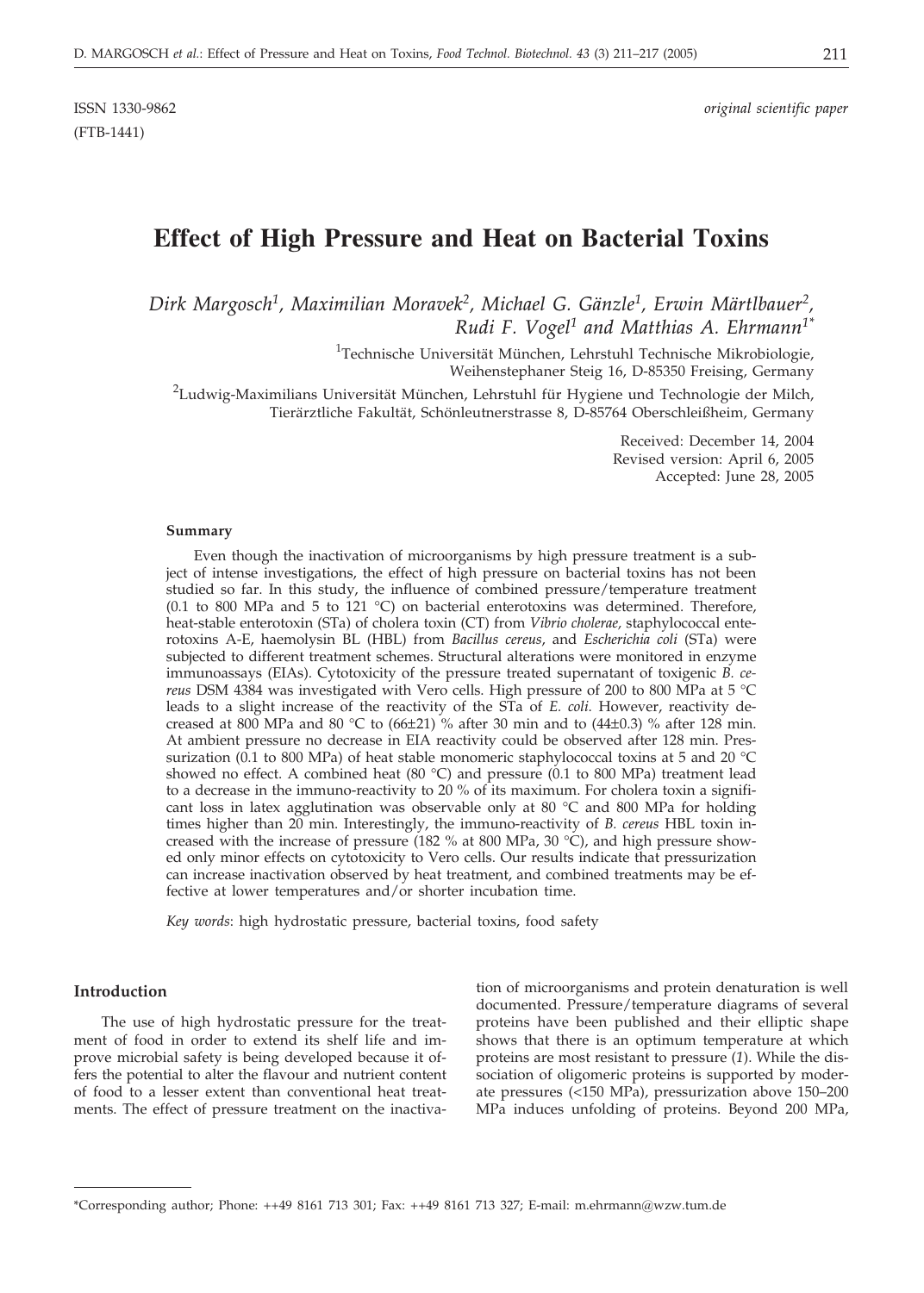(FTB-1441)

# **Effect of High Pressure and Heat on Bacterial Toxins**

*Dirk Margosch1, Maximilian Moravek2, Michael G. Gänzle1, Erwin Märtlbauer2, Rudi F. Vogel1 and Matthias A. Ehrmann1\**

> <sup>1</sup>Technische Universität München, Lehrstuhl Technische Mikrobiologie, Weihenstephaner Steig 16, D-85350 Freising, Germany

 $^2$ Ludwig-Maximilians Universität München, Lehrstuhl für Hygiene und Technologie der Milch, Tierärztliche Fakultät, Schönleutnerstrasse 8, D-85764 Oberschleißheim, Germany

> Received: December 14, 2004 Revised version: April 6, 2005 Accepted: June 28, 2005

#### **Summary**

Even though the inactivation of microorganisms by high pressure treatment is a subject of intense investigations, the effect of high pressure on bacterial toxins has not been studied so far. In this study, the influence of combined pressure/temperature treatment (0.1 to 800 MPa and 5 to 121 °C) on bacterial enterotoxins was determined. Therefore, heat-stable enterotoxin (STa) of cholera toxin (CT) from *Vibrio cholerae,* staphylococcal enterotoxins A-E, haemolysin BL (HBL) from *Bacillus cereus*, and *Escherichia coli* (STa) were subjected to different treatment schemes. Structural alterations were monitored in enzyme immunoassays (EIAs). Cytotoxicity of the pressure treated supernatant of toxigenic *B. cereus* DSM 4384 was investigated with Vero cells. High pressure of 200 to 800 MPa at 5 °C leads to a slight increase of the reactivity of the STa of *E. coli*. However, reactivity decreased at 800 MPa and 80 °C to  $(66\pm21)$  % after 30 min and to  $(44\pm0.3)$  % after 128 min. At ambient pressure no decrease in EIA reactivity could be observed after 128 min. Pressurization (0.1 to 800 MPa) of heat stable monomeric staphylococcal toxins at 5 and 20 °C showed no effect. A combined heat (80 °C) and pressure (0.1 to 800 MPa) treatment lead to a decrease in the immuno-reactivity to 20 % of its maximum. For cholera toxin a significant loss in latex agglutination was observable only at 80 °C and 800 MPa for holding times higher than 20 min. Interestingly, the immuno-reactivity of *B. cereus* HBL toxin increased with the increase of pressure (182 % at 800 MPa, 30  $^{\circ}$ C), and high pressure showed only minor effects on cytotoxicity to Vero cells. Our results indicate that pressurization can increase inactivation observed by heat treatment, and combined treatments may be effective at lower temperatures and/or shorter incubation time.

*Key words*: high hydrostatic pressure, bacterial toxins, food safety

### **Introduction**

The use of high hydrostatic pressure for the treatment of food in order to extend its shelf life and improve microbial safety is being developed because it offers the potential to alter the flavour and nutrient content of food to a lesser extent than conventional heat treatments. The effect of pressure treatment on the inactiva-

tion of microorganisms and protein denaturation is well documented. Pressure/temperature diagrams of several proteins have been published and their elliptic shape shows that there is an optimum temperature at which proteins are most resistant to pressure (*1*). While the dissociation of oligomeric proteins is supported by moderate pressures (<150 MPa), pressurization above 150–200 MPa induces unfolding of proteins. Beyond 200 MPa,

<sup>\*</sup>Corresponding author; Phone: ++49 8161 713 301; Fax: ++49 8161 713 327; E-mail: m.ehrmann*@*wzw.tum.de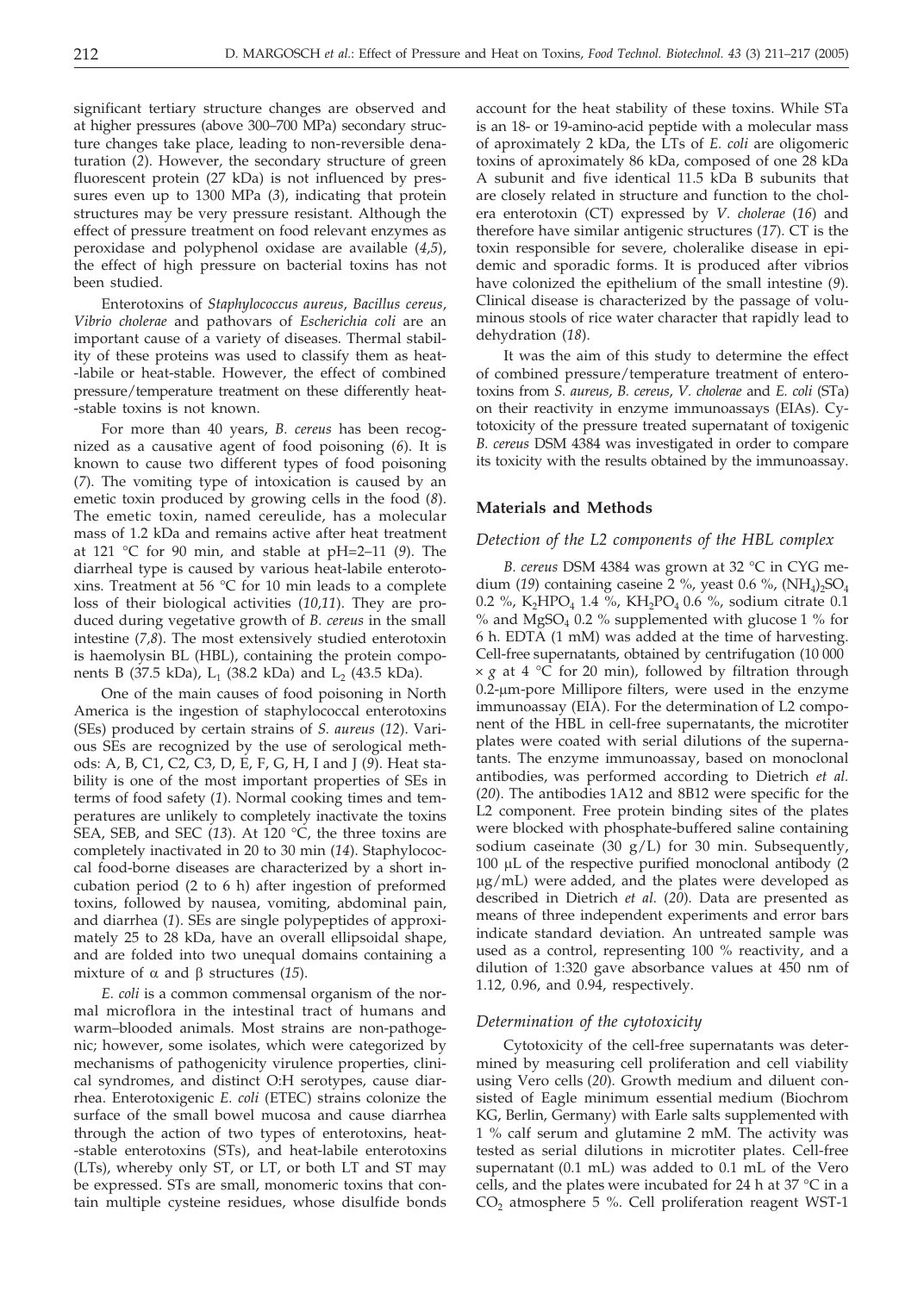significant tertiary structure changes are observed and at higher pressures (above 300–700 MPa) secondary structure changes take place, leading to non-reversible denaturation (*2*). However, the secondary structure of green fluorescent protein (27 kDa) is not influenced by pressures even up to 1300 MPa (*3*), indicating that protein structures may be very pressure resistant. Although the effect of pressure treatment on food relevant enzymes as peroxidase and polyphenol oxidase are available (*4,5*), the effect of high pressure on bacterial toxins has not been studied.

Enterotoxins of *Staphylococcus aureus*, *Bacillus cereus*, *Vibrio cholerae* and pathovars of *Escherichia coli* are an important cause of a variety of diseases. Thermal stability of these proteins was used to classify them as heat- -labile or heat-stable. However, the effect of combined pressure/temperature treatment on these differently heat- -stable toxins is not known.

For more than 40 years, *B. cereus* has been recognized as a causative agent of food poisoning (*6*). It is known to cause two different types of food poisoning (*7*). The vomiting type of intoxication is caused by an emetic toxin produced by growing cells in the food (*8*). The emetic toxin, named cereulide, has a molecular mass of 1.2 kDa and remains active after heat treatment at 121 °C for 90 min, and stable at pH=2–11 (*9*). The diarrheal type is caused by various heat-labile enterotoxins. Treatment at 56 °C for 10 min leads to a complete loss of their biological activities (*10,11*). They are produced during vegetative growth of *B. cereus* in the small intestine (*7,8*). The most extensively studied enterotoxin is haemolysin BL (HBL), containing the protein components B (37.5 kDa),  $L_1$  (38.2 kDa) and  $L_2$  (43.5 kDa).

One of the main causes of food poisoning in North America is the ingestion of staphylococcal enterotoxins (SEs) produced by certain strains of *S. aureus* (*12*). Various SEs are recognized by the use of serological methods: A, B, C1, C2, C3, D, E, F, G, H, I and J (*9*). Heat stability is one of the most important properties of SEs in terms of food safety (*1*). Normal cooking times and temperatures are unlikely to completely inactivate the toxins SEA, SEB, and SEC (*13*). At 120 °C, the three toxins are completely inactivated in 20 to 30 min (*14*). Staphylococcal food-borne diseases are characterized by a short incubation period (2 to 6 h) after ingestion of preformed toxins, followed by nausea, vomiting, abdominal pain, and diarrhea (*1*). SEs are single polypeptides of approximately 25 to 28 kDa, have an overall ellipsoidal shape, and are folded into two unequal domains containing a mixture of  $\alpha$  and  $\beta$  structures (15).

*E. coli* is a common commensal organism of the normal microflora in the intestinal tract of humans and warm–blooded animals. Most strains are non-pathogenic; however, some isolates, which were categorized by mechanisms of pathogenicity virulence properties, clinical syndromes, and distinct O:H serotypes, cause diarrhea. Enterotoxigenic *E. coli* (ETEC) strains colonize the surface of the small bowel mucosa and cause diarrhea through the action of two types of enterotoxins, heat- -stable enterotoxins (STs), and heat-labile enterotoxins (LTs), whereby only ST, or LT, or both LT and ST may be expressed. STs are small, monomeric toxins that contain multiple cysteine residues, whose disulfide bonds account for the heat stability of these toxins. While STa is an 18- or 19-amino-acid peptide with a molecular mass of aproximately 2 kDa, the LTs of *E. coli* are oligomeric toxins of aproximately 86 kDa, composed of one 28 kDa A subunit and five identical 11.5 kDa B subunits that are closely related in structure and function to the cholera enterotoxin (CT) expressed by *V. cholerae* (*16*) and therefore have similar antigenic structures (*17*). CT is the toxin responsible for severe, choleralike disease in epidemic and sporadic forms. It is produced after vibrios have colonized the epithelium of the small intestine (*9*). Clinical disease is characterized by the passage of voluminous stools of rice water character that rapidly lead to dehydration (*18*).

It was the aim of this study to determine the effect of combined pressure/temperature treatment of enterotoxins from *S. aureus*, *B. cereus*, *V. cholerae* and *E. coli* (STa) on their reactivity in enzyme immunoassays (EIAs). Cytotoxicity of the pressure treated supernatant of toxigenic *B. cereus* DSM 4384 was investigated in order to compare its toxicity with the results obtained by the immunoassay.

#### **Materials and Methods**

### *Detection of the L2 components of the HBL complex*

*B. cereus* DSM 4384 was grown at 32 °C in CYG medium (19) containing caseine  $2\%$ , yeast 0.6 %, (NH<sub>4</sub>)<sub>2</sub>SO<sub>4</sub> 0.2 %, K<sub>2</sub>HPO<sub>4</sub> 1.4 %, KH<sub>2</sub>PO<sub>4</sub> 0.6 %, sodium citrate 0.1  $\%$  and MgSO<sub>4</sub> 0.2  $\%$  supplemented with glucose 1  $\%$  for 6 h. EDTA (1 mM) was added at the time of harvesting. Cell-free supernatants, obtained by centrifugation (10 000  $\times g$  at 4 °C for 20 min), followed by filtration through  $0.2$ - $\mu$ m-pore Millipore filters, were used in the enzyme immunoassay (EIA). For the determination of L2 component of the HBL in cell-free supernatants, the microtiter plates were coated with serial dilutions of the supernatants. The enzyme immunoassay, based on monoclonal antibodies, was performed according to Dietrich *et al.* (*20*). The antibodies 1A12 and 8B12 were specific for the L2 component. Free protein binding sites of the plates were blocked with phosphate-buffered saline containing sodium caseinate (30 g/L) for 30 min. Subsequently, 100  $\mu$ L of the respective purified monoclonal antibody (2) µg/mL) were added, and the plates were developed as described in Dietrich *et al.* (*20*). Data are presented as means of three independent experiments and error bars indicate standard deviation. An untreated sample was used as a control, representing 100 % reactivity, and a dilution of 1:320 gave absorbance values at 450 nm of 1.12, 0.96, and 0.94, respectively.

#### *Determination of the cytotoxicity*

Cytotoxicity of the cell-free supernatants was determined by measuring cell proliferation and cell viability using Vero cells (*20*). Growth medium and diluent consisted of Eagle minimum essential medium (Biochrom KG, Berlin, Germany) with Earle salts supplemented with 1 % calf serum and glutamine 2 mM. The activity was tested as serial dilutions in microtiter plates. Cell-free supernatant (0.1 mL) was added to 0.1 mL of the Vero cells, and the plates were incubated for 24 h at 37  $\degree$ C in a  $CO<sub>2</sub>$  atmosphere 5 %. Cell proliferation reagent WST-1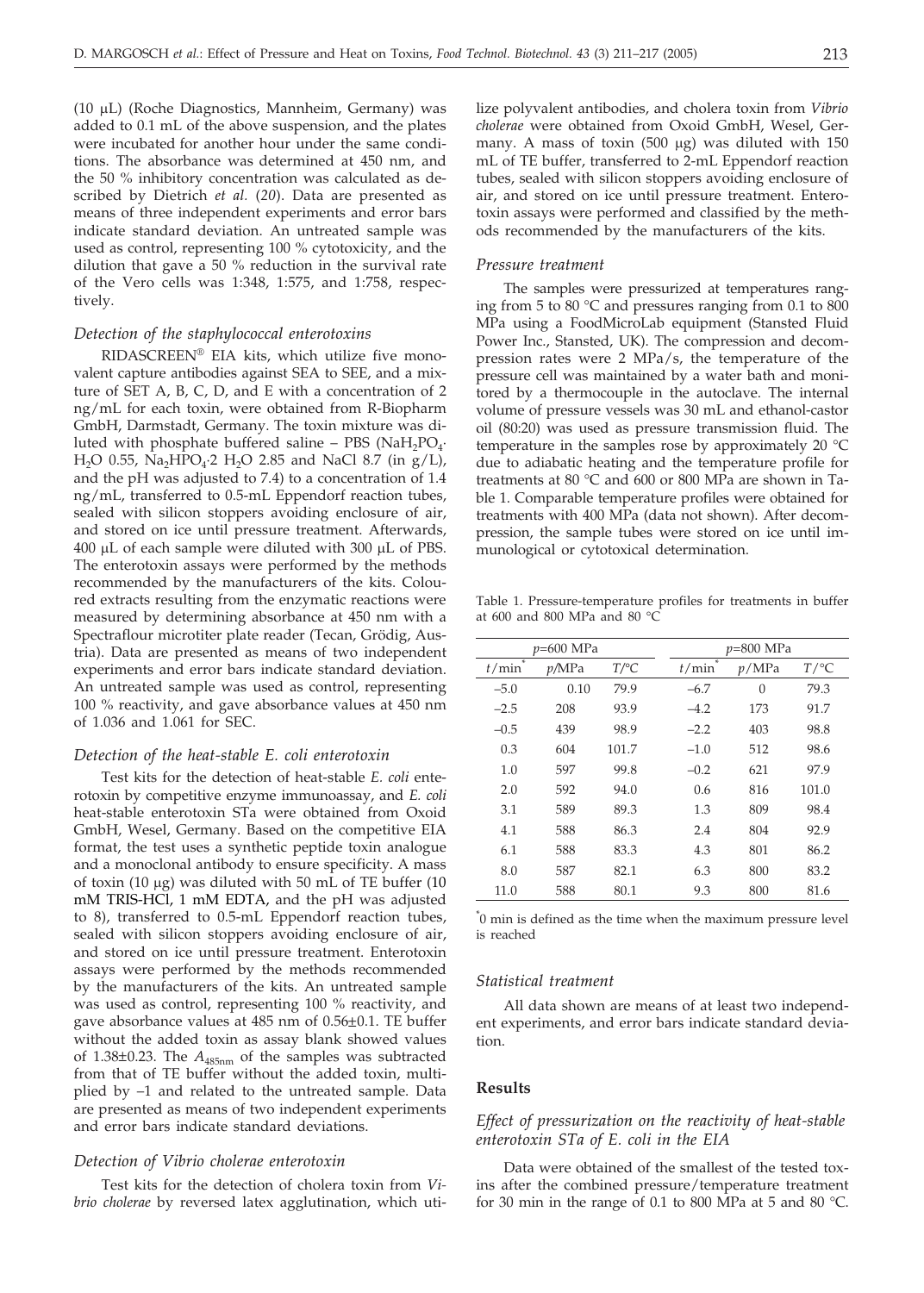(10 µL) (Roche Diagnostics, Mannheim, Germany) was added to 0.1 mL of the above suspension, and the plates were incubated for another hour under the same conditions. The absorbance was determined at 450 nm, and the 50 % inhibitory concentration was calculated as described by Dietrich *et al.* (*20*). Data are presented as means of three independent experiments and error bars indicate standard deviation. An untreated sample was used as control, representing 100 % cytotoxicity, and the dilution that gave a 50 % reduction in the survival rate of the Vero cells was 1:348, 1:575, and 1:758, respectively.

#### *Detection of the staphylococcal enterotoxins*

RIDASCREEN® EIA kits, which utilize five monovalent capture antibodies against SEA to SEE, and a mixture of SET A, B, C, D, and E with a concentration of 2 ng/mL for each toxin, were obtained from R-Biopharm GmbH, Darmstadt, Germany. The toxin mixture was diluted with phosphate buffered saline – PBS (NaH<sub>2</sub>PO<sub>4</sub> $\cdot$ H<sub>2</sub>O 0.55, Na<sub>2</sub>HPO<sub>4</sub>·2 H<sub>2</sub>O 2.85 and NaCl 8.7 (in g/L), and the pH was adjusted to 7.4) to a concentration of 1.4 ng/mL, transferred to 0.5-mL Eppendorf reaction tubes, sealed with silicon stoppers avoiding enclosure of air, and stored on ice until pressure treatment. Afterwards, 400 µL of each sample were diluted with 300 µL of PBS. The enterotoxin assays were performed by the methods recommended by the manufacturers of the kits. Coloured extracts resulting from the enzymatic reactions were measured by determining absorbance at 450 nm with a Spectraflour microtiter plate reader (Tecan, Grödig, Austria). Data are presented as means of two independent experiments and error bars indicate standard deviation. An untreated sample was used as control, representing 100 % reactivity, and gave absorbance values at 450 nm of 1.036 and 1.061 for SEC.

### *Detection of the heat-stable E. coli enterotoxin*

Test kits for the detection of heat-stable *E. coli* enterotoxin by competitive enzyme immunoassay, and *E. coli* heat-stable enterotoxin STa were obtained from Oxoid GmbH, Wesel, Germany. Based on the competitive EIA format, the test uses a synthetic peptide toxin analogue and a monoclonal antibody to ensure specificity. A mass of toxin (10  $\mu$ g) was diluted with 50 mL of TE buffer (10 mM TRIS-HCl, 1 mM EDTA, and the pH was adjusted to 8), transferred to 0.5-mL Eppendorf reaction tubes, sealed with silicon stoppers avoiding enclosure of air, and stored on ice until pressure treatment. Enterotoxin assays were performed by the methods recommended by the manufacturers of the kits. An untreated sample was used as control, representing 100 % reactivity, and gave absorbance values at 485 nm of 0.56±0.1. TE buffer without the added toxin as assay blank showed values of 1.38±0.23. The *A*485nm of the samples was subtracted from that of TE buffer without the added toxin, multiplied by –1 and related to the untreated sample. Data are presented as means of two independent experiments and error bars indicate standard deviations.

### *Detection of Vibrio cholerae enterotoxin*

Test kits for the detection of cholera toxin from *Vibrio cholerae* by reversed latex agglutination, which utilize polyvalent antibodies, and cholera toxin from *Vibrio cholerae* were obtained from Oxoid GmbH, Wesel, Germany. A mass of toxin  $(500 \mu g)$  was diluted with 150 mL of TE buffer, transferred to 2-mL Eppendorf reaction tubes, sealed with silicon stoppers avoiding enclosure of air, and stored on ice until pressure treatment. Enterotoxin assays were performed and classified by the methods recommended by the manufacturers of the kits.

#### *Pressure treatment*

The samples were pressurized at temperatures ranging from 5 to 80 °C and pressures ranging from 0.1 to 800 MPa using a FoodMicroLab equipment (Stansted Fluid Power Inc., Stansted, UK). The compression and decompression rates were 2 MPa/s, the temperature of the pressure cell was maintained by a water bath and monitored by a thermocouple in the autoclave. The internal volume of pressure vessels was 30 mL and ethanol-castor oil (80:20) was used as pressure transmission fluid. The temperature in the samples rose by approximately 20 °C due to adiabatic heating and the temperature profile for treatments at 80 °C and 600 or 800 MPa are shown in Table 1. Comparable temperature profiles were obtained for treatments with 400 MPa (data not shown). After decompression, the sample tubes were stored on ice until immunological or cytotoxical determination.

Table 1. Pressure-temperature profiles for treatments in buffer at 600 and 800 MPa and 80 °C

|        | $p=600$ MPa |         |  | <i>p</i> =800 MPa |          |         |  |  |  |
|--------|-------------|---------|--|-------------------|----------|---------|--|--|--|
| t/min  | p/MPa       | $T$ /°C |  | t/min             | p/MPa    | $T$ /°C |  |  |  |
| $-5.0$ | 0.10        | 79.9    |  | $-6.7$            | $\Omega$ | 79.3    |  |  |  |
| $-2.5$ | 208         | 93.9    |  | $-4.2$            | 173      | 91.7    |  |  |  |
| $-0.5$ | 439         | 98.9    |  | $-2.2$            | 403      | 98.8    |  |  |  |
| 0.3    | 604         | 101.7   |  | $-1.0$            | 512      | 98.6    |  |  |  |
| 1.0    | 597         | 99.8    |  | $-0.2$            | 621      | 97.9    |  |  |  |
| 2.0    | 592         | 94.0    |  | 0.6               | 816      | 101.0   |  |  |  |
| 3.1    | 589         | 89.3    |  | 1.3               | 809      | 98.4    |  |  |  |
| 4.1    | 588         | 86.3    |  | 2.4               | 804      | 92.9    |  |  |  |
| 6.1    | 588         | 83.3    |  | 4.3               | 801      | 86.2    |  |  |  |
| 8.0    | 587         | 82.1    |  | 6.3               | 800      | 83.2    |  |  |  |
| 11.0   | 588         | 80.1    |  | 9.3               | 800      | 81.6    |  |  |  |

\* 0 min is defined as the time when the maximum pressure level is reached

### *Statistical treatment*

All data shown are means of at least two independent experiments, and error bars indicate standard deviation.

### **Results**

### *Effect of pressurization on the reactivity of heat-stable enterotoxin STa of E. coli in the EIA*

Data were obtained of the smallest of the tested toxins after the combined pressure/temperature treatment for 30 min in the range of 0.1 to 800 MPa at 5 and 80 °C.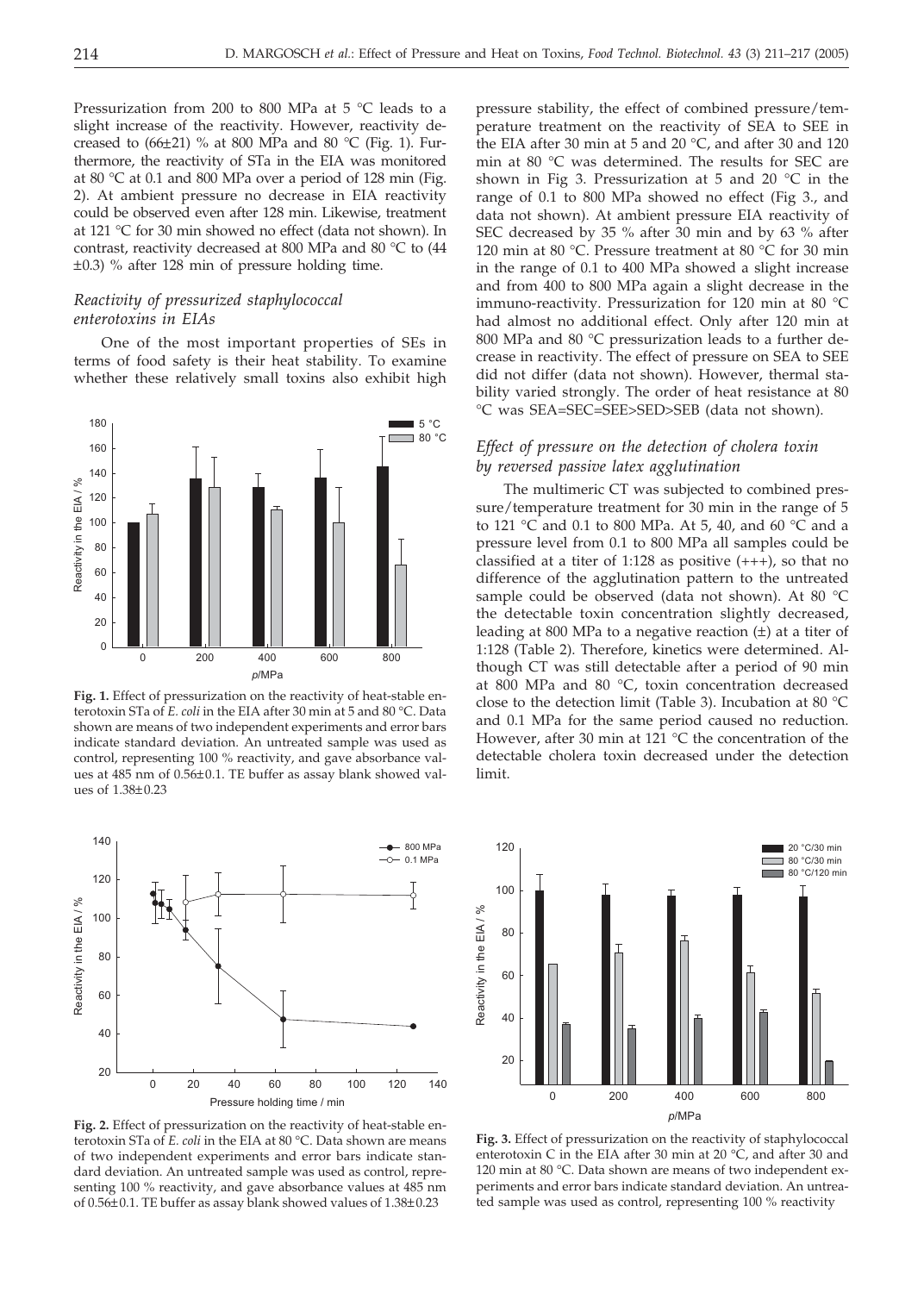Pressurization from 200 to 800 MPa at 5 °C leads to a slight increase of the reactivity. However, reactivity decreased to  $(66\pm21)$  % at 800 MPa and 80 °C (Fig. 1). Furthermore, the reactivity of STa in the EIA was monitored at 80 °C at 0.1 and 800 MPa over a period of 128 min (Fig. 2). At ambient pressure no decrease in EIA reactivity could be observed even after 128 min. Likewise, treatment at 121 °C for 30 min showed no effect (data not shown). In contrast, reactivity decreased at 800 MPa and 80 °C to (44 ±0.3) % after 128 min of pressure holding time.

### *Reactivity of pressurized staphylococcal enterotoxins in EIAs*

One of the most important properties of SEs in terms of food safety is their heat stability. To examine whether these relatively small toxins also exhibit high



**Fig. 1.** Effect of pressurization on the reactivity of heat-stable enterotoxin STa of *E. coli* in the EIA after 30 min at 5 and 80 °C. Data shown are means of two independent experiments and error bars indicate standard deviation. An untreated sample was used as control, representing 100 % reactivity, and gave absorbance values at 485 nm of 0.56±0.1. TE buffer as assay blank showed values of 1.38±0.23



**Fig. 2.** Effect of pressurization on the reactivity of heat-stable enterotoxin STa of *E. coli* in the EIA at 80 °C. Data shown are means of two independent experiments and error bars indicate standard deviation. An untreated sample was used as control, representing 100 % reactivity, and gave absorbance values at 485 nm of 0.56±0.1. TE buffer as assay blank showed values of 1.38±0.23

pressure stability, the effect of combined pressure/temperature treatment on the reactivity of SEA to SEE in the EIA after 30 min at 5 and 20 °C, and after 30 and 120 min at 80 °C was determined. The results for SEC are shown in Fig 3. Pressurization at 5 and 20  $^{\circ}$ C in the range of 0.1 to 800 MPa showed no effect (Fig 3., and data not shown). At ambient pressure EIA reactivity of SEC decreased by 35 % after 30 min and by 63 % after 120 min at 80 °C. Pressure treatment at 80 °C for 30 min in the range of 0.1 to 400 MPa showed a slight increase and from 400 to 800 MPa again a slight decrease in the immuno-reactivity. Pressurization for 120 min at 80 °C had almost no additional effect. Only after 120 min at 800 MPa and 80 °C pressurization leads to a further decrease in reactivity. The effect of pressure on SEA to SEE did not differ (data not shown). However, thermal stability varied strongly. The order of heat resistance at 80 °C was SEA=SEC=SEE>SED>SEB (data not shown).

### *Effect of pressure on the detection of cholera toxin by reversed passive latex agglutination*

The multimeric CT was subjected to combined pressure/temperature treatment for 30 min in the range of 5 to 121 °C and 0.1 to 800 MPa. At 5, 40, and 60 °C and a pressure level from 0.1 to 800 MPa all samples could be classified at a titer of 1:128 as positive  $(+++)$ , so that no difference of the agglutination pattern to the untreated sample could be observed (data not shown). At 80 °C the detectable toxin concentration slightly decreased, leading at 800 MPa to a negative reaction  $(\pm)$  at a titer of 1:128 (Table 2). Therefore, kinetics were determined. Although CT was still detectable after a period of 90 min at 800 MPa and 80 °C, toxin concentration decreased close to the detection limit (Table 3). Incubation at 80 °C and 0.1 MPa for the same period caused no reduction. However, after 30 min at 121 °C the concentration of the detectable cholera toxin decreased under the detection limit.



**Fig. 3.** Effect of pressurization on the reactivity of staphylococcal enterotoxin C in the EIA after 30 min at 20 °C, and after 30 and 120 min at 80 °C. Data shown are means of two independent experiments and error bars indicate standard deviation. An untreated sample was used as control, representing 100 % reactivity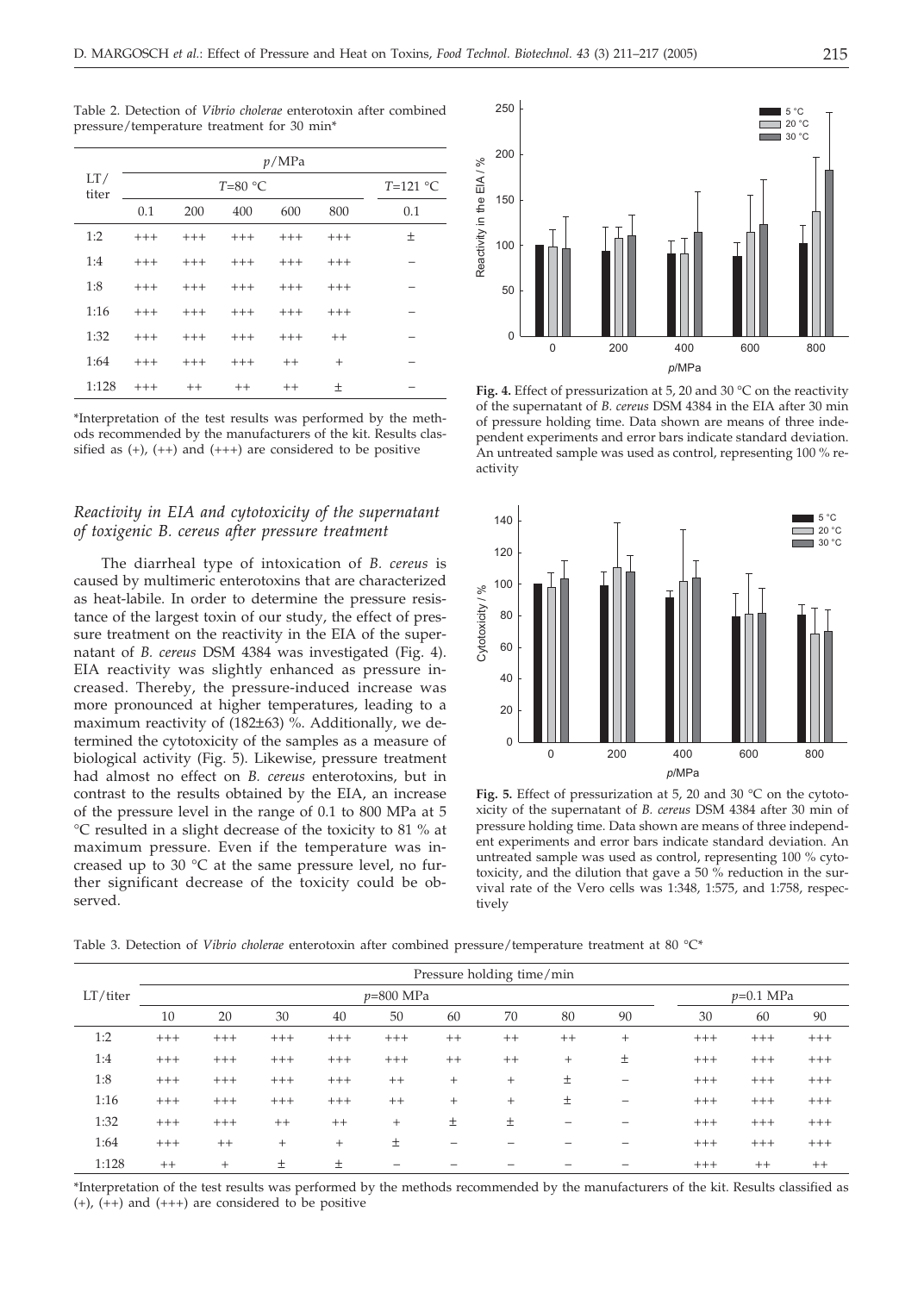| LT/<br>titer | p/MPa    |            |       |         |         |     |  |  |  |
|--------------|----------|------------|-------|---------|---------|-----|--|--|--|
|              |          | $T=121$ °C |       |         |         |     |  |  |  |
|              | 0.1      | 200        | 400   | 600     | 800     | 0.1 |  |  |  |
| 1:2          | $^{+++}$ | $+++$      | $+++$ | $+++$   | $+++$   | 土   |  |  |  |
| 1:4          | $^{+++}$ | $+++$      | $+++$ | $+++$   | $+++$   |     |  |  |  |
| 1:8          | $^{+++}$ | $+++$      | $+++$ | $+++$   | $+++$   |     |  |  |  |
| 1:16         | $+++$    | $+++$      | $+++$ | $+++$   | $+++$   |     |  |  |  |
| 1:32         | $+++$    | $+++$      | $+++$ | $+++$   | $^{++}$ |     |  |  |  |
| 1:64         | $+++$    | $+++$      | $+++$ | $++$    | $^{+}$  |     |  |  |  |
| 1:128        | $+++$    | $++$       | $++$  | $^{++}$ | 土       |     |  |  |  |

Table 2. Detection of *Vibrio cholerae* enterotoxin after combined pressure/temperature treatment for 30 min\*

\*Interpretation of the test results was performed by the methods recommended by the manufacturers of the kit. Results classified as  $(+)$ ,  $(+)$  and  $(++)$  are considered to be positive

### *Reactivity in EIA and cytotoxicity of the supernatant of toxigenic B. cereus after pressure treatment*

The diarrheal type of intoxication of *B. cereus* is caused by multimeric enterotoxins that are characterized as heat-labile. In order to determine the pressure resistance of the largest toxin of our study, the effect of pressure treatment on the reactivity in the EIA of the supernatant of *B. cereus* DSM 4384 was investigated (Fig. 4). EIA reactivity was slightly enhanced as pressure increased. Thereby, the pressure-induced increase was more pronounced at higher temperatures, leading to a maximum reactivity of (182±63) %. Additionally, we determined the cytotoxicity of the samples as a measure of biological activity (Fig. 5). Likewise, pressure treatment had almost no effect on *B. cereus* enterotoxins, but in contrast to the results obtained by the EIA, an increase of the pressure level in the range of 0.1 to 800 MPa at 5 °C resulted in a slight decrease of the toxicity to 81 % at maximum pressure. Even if the temperature was increased up to 30 °C at the same pressure level, no further significant decrease of the toxicity could be observed.



**Fig. 4.** Effect of pressurization at 5, 20 and 30 °C on the reactivity of the supernatant of *B. cereus* DSM 4384 in the EIA after 30 min of pressure holding time. Data shown are means of three independent experiments and error bars indicate standard deviation. An untreated sample was used as control, representing 100 % reactivity



**Fig. 5.** Effect of pressurization at 5, 20 and 30 °C on the cytotoxicity of the supernatant of *B. cereus* DSM 4384 after 30 min of pressure holding time. Data shown are means of three independent experiments and error bars indicate standard deviation. An untreated sample was used as control, representing 100 % cytotoxicity, and the dilution that gave a 50 % reduction in the survival rate of the Vero cells was 1:348, 1:575, and 1:758, respectively

Table 3. Detection of *Vibrio cholerae* enterotoxin after combined pressure/temperature treatment at 80 °C\*

|          | Pressure holding time/min |        |        |        |         |         |         |                          |        |       |             |       |  |
|----------|---------------------------|--------|--------|--------|---------|---------|---------|--------------------------|--------|-------|-------------|-------|--|
| LT/titer | $p=800$ MPa               |        |        |        |         |         |         |                          |        |       | $p=0.1$ MPa |       |  |
|          | 10                        | 20     | 30     | 40     | 50      | 60      | 70      | 80                       | 90     | 30    | 60          | 90    |  |
| 1:2      | $+++$                     | $+++$  | $+++$  | $+++$  | $+++$   | $^{++}$ | $++$    | $^{++}$                  | $^{+}$ | $+++$ | $+++$       | $+++$ |  |
| 1:4      | $+++$                     | $+++$  | $+++$  | $+++$  | $+++$   | $^{++}$ | $^{++}$ | $^{+}$                   | 土      | $+++$ | $+++$       | $+++$ |  |
| 1:8      | $++++$                    | $+++$  | $+++$  | $+++$  | $^{++}$ | $^{+}$  | $^{+}$  | 土                        | -      | $+++$ | $+++$       | $+++$ |  |
| 1:16     | $+++$                     | $+++$  | $+++$  | $+++$  | $++$    | $^{+}$  | $^{+}$  | 土                        | -      | $+++$ | $+++$       | $+++$ |  |
| 1:32     | $+++$                     | $+++$  | $++$   | $++$   | $^{+}$  | 土       | 土       | $\overline{\phantom{0}}$ | -      | $+++$ | $+++$       | $+++$ |  |
| 1:64     | $+++$                     | $++$   | $^{+}$ | $^{+}$ | 土       | -       |         |                          |        | $+++$ | $+++$       | $+++$ |  |
| 1:128    | $++$                      | $^{+}$ | Ŧ.     | 土      |         |         |         |                          |        | $+++$ | $^{++}$     | $++$  |  |

\*Interpretation of the test results was performed by the methods recommended by the manufacturers of the kit. Results classified as  $(+)$ ,  $(+)$  and  $(++)$  are considered to be positive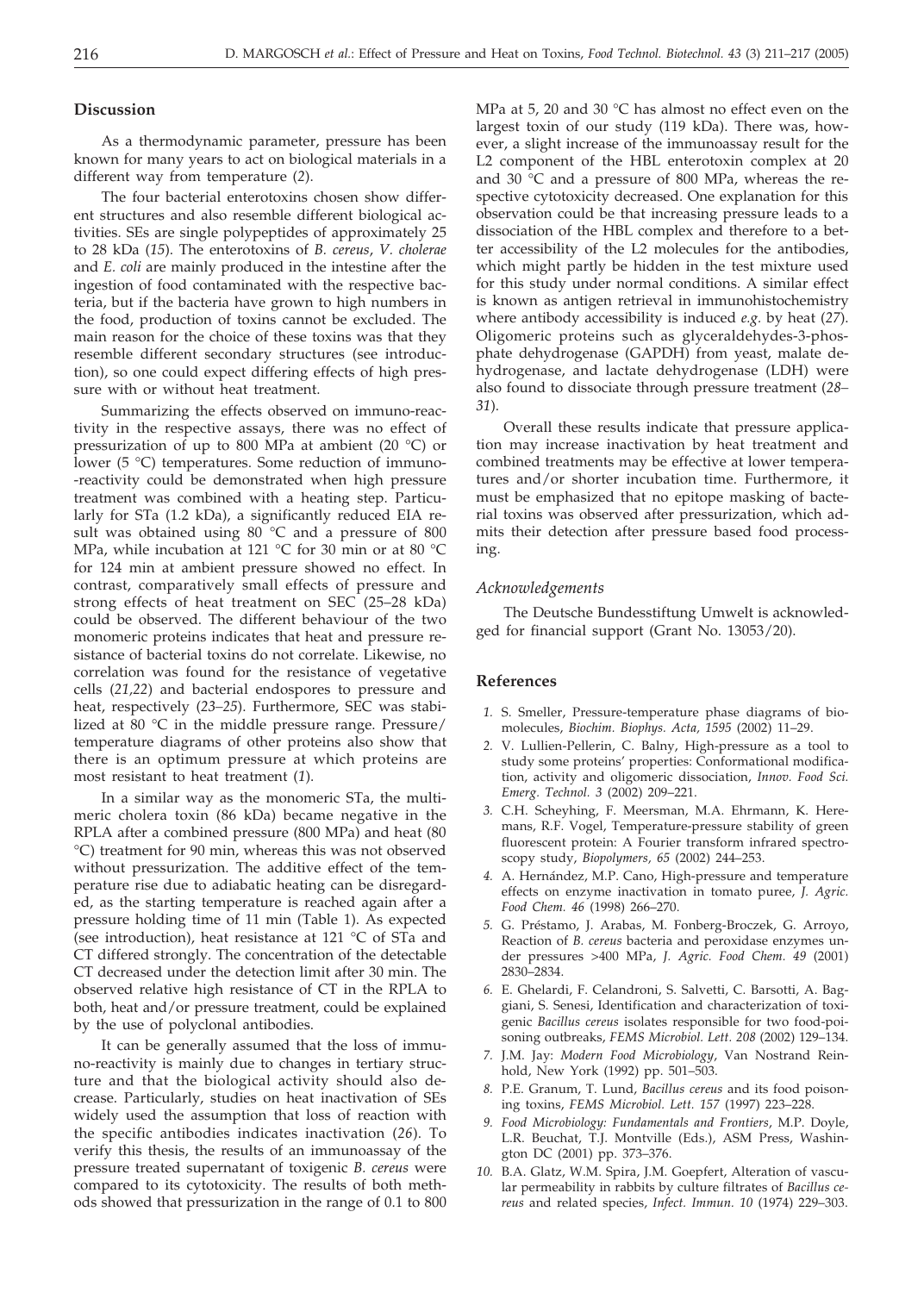#### **Discussion**

As a thermodynamic parameter, pressure has been known for many years to act on biological materials in a different way from temperature (*2*).

The four bacterial enterotoxins chosen show different structures and also resemble different biological activities. SEs are single polypeptides of approximately 25 to 28 kDa (*15*). The enterotoxins of *B. cereus*, *V. cholerae* and *E. coli* are mainly produced in the intestine after the ingestion of food contaminated with the respective bacteria, but if the bacteria have grown to high numbers in the food, production of toxins cannot be excluded. The main reason for the choice of these toxins was that they resemble different secondary structures (see introduction), so one could expect differing effects of high pressure with or without heat treatment.

Summarizing the effects observed on immuno-reactivity in the respective assays, there was no effect of pressurization of up to 800 MPa at ambient (20 °C) or lower (5 °C) temperatures. Some reduction of immuno- -reactivity could be demonstrated when high pressure treatment was combined with a heating step. Particularly for STa (1.2 kDa), a significantly reduced EIA result was obtained using  $80^{\circ}$ C and a pressure of  $800$ MPa, while incubation at 121 °C for 30 min or at 80 °C for 124 min at ambient pressure showed no effect. In contrast, comparatively small effects of pressure and strong effects of heat treatment on SEC (25–28 kDa) could be observed. The different behaviour of the two monomeric proteins indicates that heat and pressure resistance of bacterial toxins do not correlate. Likewise, no correlation was found for the resistance of vegetative cells (*21,22*) and bacterial endospores to pressure and heat, respectively (*23–25*). Furthermore, SEC was stabilized at 80 °C in the middle pressure range. Pressure/ temperature diagrams of other proteins also show that there is an optimum pressure at which proteins are most resistant to heat treatment (*1*).

In a similar way as the monomeric STa, the multimeric cholera toxin (86 kDa) became negative in the RPLA after a combined pressure (800 MPa) and heat (80 °C) treatment for 90 min, whereas this was not observed without pressurization. The additive effect of the temperature rise due to adiabatic heating can be disregarded, as the starting temperature is reached again after a pressure holding time of 11 min (Table 1). As expected (see introduction), heat resistance at 121 °C of STa and CT differed strongly. The concentration of the detectable CT decreased under the detection limit after 30 min. The observed relative high resistance of CT in the RPLA to both, heat and/or pressure treatment, could be explained by the use of polyclonal antibodies.

It can be generally assumed that the loss of immuno-reactivity is mainly due to changes in tertiary structure and that the biological activity should also decrease. Particularly, studies on heat inactivation of SEs widely used the assumption that loss of reaction with the specific antibodies indicates inactivation (*26*). To verify this thesis, the results of an immunoassay of the pressure treated supernatant of toxigenic *B. cereus* were compared to its cytotoxicity. The results of both methods showed that pressurization in the range of 0.1 to 800

MPa at 5, 20 and 30 °C has almost no effect even on the largest toxin of our study (119 kDa). There was, however, a slight increase of the immunoassay result for the L2 component of the HBL enterotoxin complex at 20 and 30  $\degree$ C and a pressure of 800 MPa, whereas the respective cytotoxicity decreased. One explanation for this observation could be that increasing pressure leads to a dissociation of the HBL complex and therefore to a better accessibility of the L2 molecules for the antibodies, which might partly be hidden in the test mixture used for this study under normal conditions. A similar effect is known as antigen retrieval in immunohistochemistry where antibody accessibility is induced *e.g.* by heat (*27*). Oligomeric proteins such as glyceraldehydes-3-phosphate dehydrogenase (GAPDH) from yeast, malate dehydrogenase, and lactate dehydrogenase (LDH) were also found to dissociate through pressure treatment (*28– 31*).

Overall these results indicate that pressure application may increase inactivation by heat treatment and combined treatments may be effective at lower temperatures and/or shorter incubation time. Furthermore, it must be emphasized that no epitope masking of bacterial toxins was observed after pressurization, which admits their detection after pressure based food processing.

#### *Acknowledgements*

The Deutsche Bundesstiftung Umwelt is acknowledged for financial support (Grant No. 13053/20).

### **References**

- *1.* S. Smeller, Pressure-temperature phase diagrams of biomolecules, *Biochim. Biophys. Acta, 1595* (2002) 11–29.
- *2.* V. Lullien-Pellerin, C. Balny, High-pressure as a tool to study some proteins' properties: Conformational modification, activity and oligomeric dissociation, *Innov. Food Sci. Emerg. Technol. 3* (2002) 209–221.
- *3.* C.H. Scheyhing, F. Meersman, M.A. Ehrmann, K. Heremans, R.F. Vogel, Temperature-pressure stability of green fluorescent protein: A Fourier transform infrared spectroscopy study, *Biopolymers, 65* (2002) 244–253.
- *4.* A. Hernández, M.P. Cano, High-pressure and temperature effects on enzyme inactivation in tomato puree, *J. Agric. Food Chem. 46* (1998) 266–270.
- *5.* G. Préstamo, J. Arabas, M. Fonberg-Broczek, G. Arroyo, Reaction of *B. cereus* bacteria and peroxidase enzymes under pressures >400 MPa, *J. Agric. Food Chem. 49* (2001) 2830–2834.
- *6.* E. Ghelardi, F. Celandroni, S. Salvetti, C. Barsotti, A. Baggiani, S. Senesi, Identification and characterization of toxigenic *Bacillus cereus* isolates responsible for two food-poisoning outbreaks, *FEMS Microbiol. Lett. 208* (2002) 129–134.
- *7.* J.M. Jay: *Modern Food Microbiology*, Van Nostrand Reinhold, New York (1992) pp. 501–503.
- *8.* P.E. Granum, T. Lund, *Bacillus cereus* and its food poisoning toxins, *FEMS Microbiol. Lett. 157* (1997) 223–228.
- *9. Food Microbiology: Fundamentals and Frontiers*, M.P. Doyle, L.R. Beuchat, T.J. Montville (Eds.), ASM Press, Washington DC (2001) pp. 373–376.
- *10.* B.A. Glatz, W.M. Spira, J.M. Goepfert, Alteration of vascular permeability in rabbits by culture filtrates of *Bacillus cereus* and related species, *Infect. Immun. 10* (1974) 229–303.